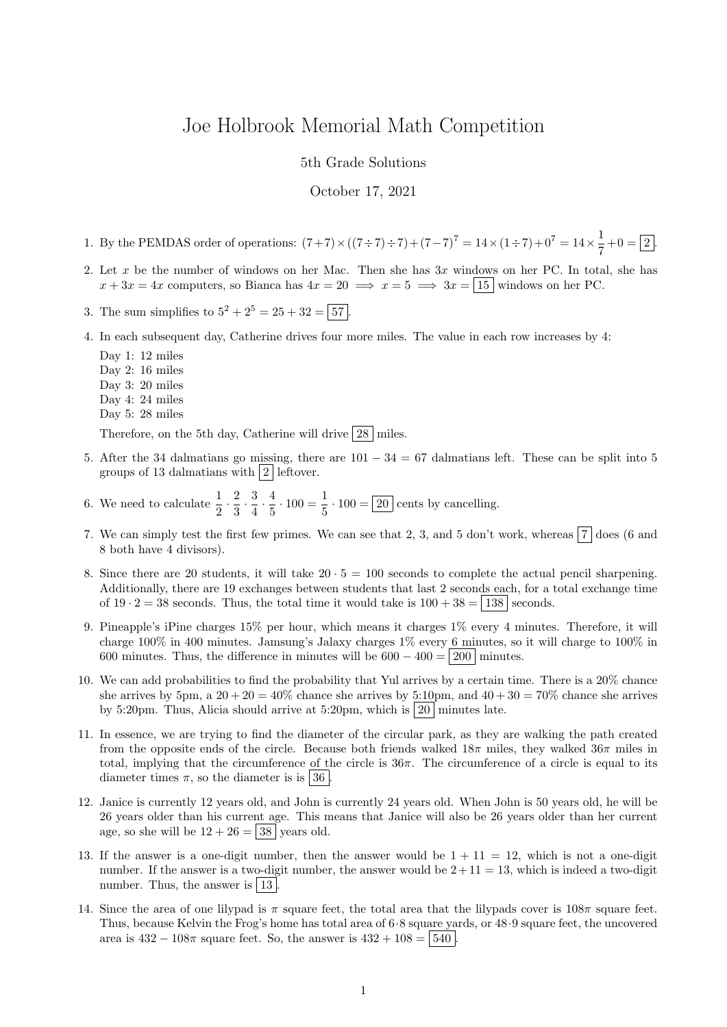## Joe Holbrook Memorial Math Competition

5th Grade Solutions

October 17, 2021

- 1. By the PEMDAS order of operations:  $(7+7) \times ((7 \div 7) \div 7) + (7-7)^7 = 14 \times (1 \div 7) + 0^7 = 14 \times \frac{1}{7}$  $\frac{1}{7} + 0 = 2$ .
- 2. Let x be the number of windows on her Mac. Then she has  $3x$  windows on her PC. In total, she has  $x + 3x = 4x$  computers, so Bianca has  $4x = 20 \implies x = 5 \implies 3x = |15|$  windows on her PC.
- 3. The sum simplifies to  $5^2 + 2^5 = 25 + 32 = 57$ .
- 4. In each subsequent day, Catherine drives four more miles. The value in each row increases by 4:
	- Day 1: 12 miles Day 2: 16 miles Day 3: 20 miles Day 4: 24 miles Day 5: 28 miles Therefore, on the 5th day, Catherine will drive  $\boxed{28}$  miles.
- 5. After the 34 dalmatians go missing, there are  $101 34 = 67$  dalmatians left. These can be split into 5 groups of 13 dalmatians with  $\boxed{2}$  leftover.
- 6. We need to calculate  $\frac{1}{2} \cdot \frac{2}{3}$  $\frac{2}{3} \cdot \frac{3}{4}$  $\frac{3}{4} \cdot \frac{4}{5}$  $\frac{4}{5} \cdot 100 = \frac{1}{5}$  $\frac{1}{5} \cdot 100 = 20$  cents by cancelling.
- 7. We can simply test the first few primes. We can see that 2, 3, and 5 don't work, whereas  $\boxed{7}$  does (6 and 8 both have 4 divisors).
- 8. Since there are 20 students, it will take  $20 \cdot 5 = 100$  seconds to complete the actual pencil sharpening. Additionally, there are 19 exchanges between students that last 2 seconds each, for a total exchange time of  $19 \cdot 2 = 38$  seconds. Thus, the total time it would take is  $100 + 38 = |138|$  seconds.
- 9. Pineapple's iPine charges 15% per hour, which means it charges 1% every 4 minutes. Therefore, it will charge 100% in 400 minutes. Jamsung's Jalaxy charges 1% every 6 minutes, so it will charge to 100% in 600 minutes. Thus, the difference in minutes will be  $600 - 400 = |200|$  minutes.
- 10. We can add probabilities to find the probability that Yul arrives by a certain time. There is a 20% chance she arrives by 5pm, a  $20 + 20 = 40\%$  chance she arrives by 5:10pm, and  $40 + 30 = 70\%$  chance she arrives by 5:20pm. Thus, Alicia should arrive at 5:20pm, which is  $|20|$  minutes late.
- 11. In essence, we are trying to find the diameter of the circular park, as they are walking the path created from the opposite ends of the circle. Because both friends walked  $18\pi$  miles, they walked  $36\pi$  miles in total, implying that the circumference of the circle is  $36\pi$ . The circumference of a circle is equal to its diameter times  $\pi$ , so the diameter is is 36.
- 12. Janice is currently 12 years old, and John is currently 24 years old. When John is 50 years old, he will be 26 years older than his current age. This means that Janice will also be 26 years older than her current age, so she will be  $12 + 26 = 38$  years old.
- 13. If the answer is a one-digit number, then the answer would be  $1 + 11 = 12$ , which is not a one-digit number. If the answer is a two-digit number, the answer would be  $2+11=13$ , which is indeed a two-digit number. Thus, the answer is  $|13|$ .
- 14. Since the area of one lilypad is  $\pi$  square feet, the total area that the lilypads cover is  $108\pi$  square feet. Thus, because Kelvin the Frog's home has total area of 6·8 square yards, or 48·9 square feet, the uncovered area is  $432 - 108\pi$  square feet. So, the answer is  $432 + 108 = 540$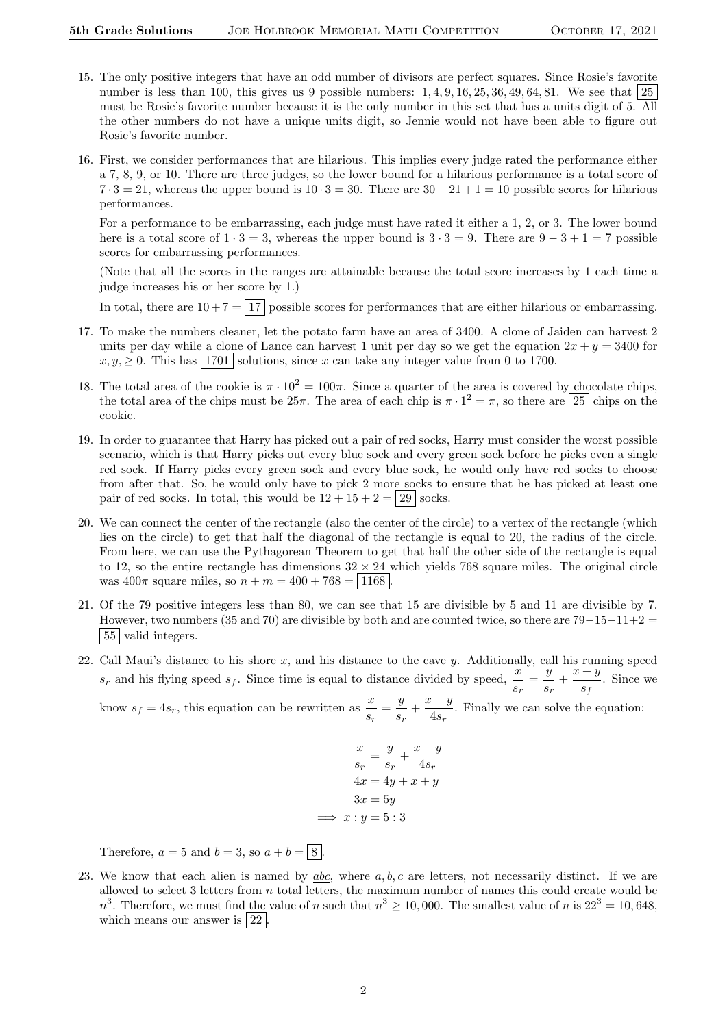- 15. The only positive integers that have an odd number of divisors are perfect squares. Since Rosie's favorite number is less than 100, this gives us 9 possible numbers:  $1, 4, 9, 16, 25, 36, 49, 64, 81$ . We see that  $25$ must be Rosie's favorite number because it is the only number in this set that has a units digit of 5. All the other numbers do not have a unique units digit, so Jennie would not have been able to figure out Rosie's favorite number.
- 16. First, we consider performances that are hilarious. This implies every judge rated the performance either a 7, 8, 9, or 10. There are three judges, so the lower bound for a hilarious performance is a total score of  $7 \cdot 3 = 21$ , whereas the upper bound is  $10 \cdot 3 = 30$ . There are  $30 - 21 + 1 = 10$  possible scores for hilarious performances.

For a performance to be embarrassing, each judge must have rated it either a 1, 2, or 3. The lower bound here is a total score of  $1 \cdot 3 = 3$ , whereas the upper bound is  $3 \cdot 3 = 9$ . There are  $9 - 3 + 1 = 7$  possible scores for embarrassing performances.

(Note that all the scores in the ranges are attainable because the total score increases by 1 each time a judge increases his or her score by 1.)

In total, there are  $10 + 7 = 17$  possible scores for performances that are either hilarious or embarrassing.

- 17. To make the numbers cleaner, let the potato farm have an area of 3400. A clone of Jaiden can harvest 2 units per day while a clone of Lance can harvest 1 unit per day so we get the equation  $2x + y = 3400$  for  $x, y, \geq 0$ . This has | 1701 | solutions, since x can take any integer value from 0 to 1700.
- 18. The total area of the cookie is  $\pi \cdot 10^2 = 100\pi$ . Since a quarter of the area is covered by chocolate chips. the total area of the chips must be  $25\pi$ . The area of each chip is  $\pi \cdot 1^2 = \pi$ , so there are  $\boxed{25}$  chips on the cookie.
- 19. In order to guarantee that Harry has picked out a pair of red socks, Harry must consider the worst possible scenario, which is that Harry picks out every blue sock and every green sock before he picks even a single red sock. If Harry picks every green sock and every blue sock, he would only have red socks to choose from after that. So, he would only have to pick 2 more socks to ensure that he has picked at least one pair of red socks. In total, this would be  $12 + 15 + 2 = 29$  socks.
- 20. We can connect the center of the rectangle (also the center of the circle) to a vertex of the rectangle (which lies on the circle) to get that half the diagonal of the rectangle is equal to 20, the radius of the circle. From here, we can use the Pythagorean Theorem to get that half the other side of the rectangle is equal to 12, so the entire rectangle has dimensions  $32 \times 24$  which yields 768 square miles. The original circle was  $400\pi$  square miles, so  $n + m = 400 + 768 = 1168$
- 21. Of the 79 positive integers less than 80, we can see that 15 are divisible by 5 and 11 are divisible by 7. However, two numbers (35 and 70) are divisible by both and are counted twice, so there are  $79-15-11+2$ | 55 | valid integers.
- 22. Call Maui's distance to his shore  $x$ , and his distance to the cave  $y$ . Additionally, call his running speed  $s_r$  and his flying speed  $s_f$ . Since time is equal to distance divided by speed,  $\frac{x}{s_r} = \frac{y}{s_i}$  $\frac{y}{s_r} + \frac{x+y}{s_f}$  $\frac{s}{s_f}$ . Since we

know  $s_f = 4s_r$ , this equation can be rewritten as  $\frac{x}{s_r} = \frac{y}{s_r}$  $\frac{y}{s_r} + \frac{x+y}{4s_r}$  $\frac{4s}{4s_r}$ . Finally we can solve the equation:

$$
\frac{x}{s_r} = \frac{y}{s_r} + \frac{x+y}{4s_r}
$$

$$
4x = 4y + x + y
$$

$$
3x = 5y
$$

$$
\implies x : y = 5:3
$$

Therefore,  $a = 5$  and  $b = 3$ , so  $a + b = \sqrt{8}$ .

23. We know that each alien is named by  $abc$ , where  $a, b, c$  are letters, not necessarily distinct. If we are allowed to select 3 letters from  $n$  total letters, the maximum number of names this could create would be  $n^3$ . Therefore, we must find the value of n such that  $n^3 \ge 10,000$ . The smallest value of n is  $22^3 = 10,648$ , which means our answer is  $\boxed{22}$ .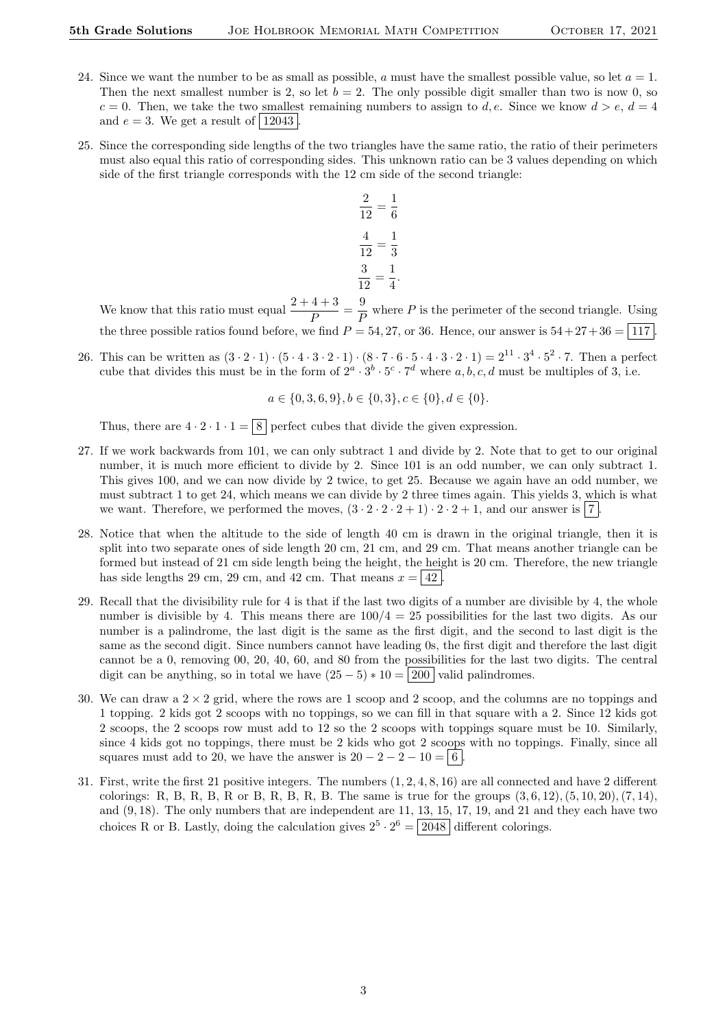- 24. Since we want the number to be as small as possible, a must have the smallest possible value, so let  $a = 1$ . Then the next smallest number is 2, so let  $b = 2$ . The only possible digit smaller than two is now 0, so  $c = 0$ . Then, we take the two smallest remaining numbers to assign to d, e. Since we know  $d > e$ ,  $d = 4$ and  $e = 3$ . We get a result of 12043
- 25. Since the corresponding side lengths of the two triangles have the same ratio, the ratio of their perimeters must also equal this ratio of corresponding sides. This unknown ratio can be 3 values depending on which side of the first triangle corresponds with the 12 cm side of the second triangle:

$$
\frac{2}{12} = \frac{1}{6}
$$

$$
\frac{4}{12} = \frac{1}{3}
$$

$$
\frac{3}{12} = \frac{1}{4}
$$

We know that this ratio must equal  $\frac{2+4+3}{P} = \frac{9}{F}$ where P is the perimeter of the second triangle. Using the three possible ratios found before, we find  $P = 54, 27,$  or 36. Hence, our answer is  $54 + 27 + 36 = 117$ .

.

26. This can be written as  $(3 \cdot 2 \cdot 1) \cdot (5 \cdot 4 \cdot 3 \cdot 2 \cdot 1) \cdot (8 \cdot 7 \cdot 6 \cdot 5 \cdot 4 \cdot 3 \cdot 2 \cdot 1) = 2^{11} \cdot 3^4 \cdot 5^2 \cdot 7$ . Then a perfect cube that divides this must be in the form of  $2^a \cdot 3^b \cdot 5^c \cdot 7^d$  where a, b, c, d must be multiples of 3, i.e.

$$
a \in \{0, 3, 6, 9\}, b \in \{0, 3\}, c \in \{0\}, d \in \{0\}.
$$

Thus, there are  $4 \cdot 2 \cdot 1 \cdot 1 = \boxed{8}$  perfect cubes that divide the given expression.

- 27. If we work backwards from 101, we can only subtract 1 and divide by 2. Note that to get to our original number, it is much more efficient to divide by 2. Since 101 is an odd number, we can only subtract 1. This gives 100, and we can now divide by 2 twice, to get 25. Because we again have an odd number, we must subtract 1 to get 24, which means we can divide by 2 three times again. This yields 3, which is what we want. Therefore, we performed the moves,  $(3 \cdot 2 \cdot 2 \cdot 2 + 1) \cdot 2 \cdot 2 + 1$ , and our answer is 7.
- 28. Notice that when the altitude to the side of length 40 cm is drawn in the original triangle, then it is split into two separate ones of side length 20 cm, 21 cm, and 29 cm. That means another triangle can be formed but instead of 21 cm side length being the height, the height is 20 cm. Therefore, the new triangle has side lengths 29 cm, 29 cm, and 42 cm. That means  $x = |42|$ .
- 29. Recall that the divisibility rule for 4 is that if the last two digits of a number are divisible by 4, the whole number is divisible by 4. This means there are  $100/4 = 25$  possibilities for the last two digits. As our number is a palindrome, the last digit is the same as the first digit, and the second to last digit is the same as the second digit. Since numbers cannot have leading 0s, the first digit and therefore the last digit cannot be a 0, removing 00, 20, 40, 60, and 80 from the possibilities for the last two digits. The central digit can be anything, so in total we have  $(25-5)*10 = |200|$  valid palindromes.
- 30. We can draw a  $2 \times 2$  grid, where the rows are 1 scoop and 2 scoop, and the columns are no toppings and 1 topping. 2 kids got 2 scoops with no toppings, so we can fill in that square with a 2. Since 12 kids got 2 scoops, the 2 scoops row must add to 12 so the 2 scoops with toppings square must be 10. Similarly, since 4 kids got no toppings, there must be 2 kids who got 2 scoops with no toppings. Finally, since all squares must add to 20, we have the answer is  $20 - 2 - 2 - 10 = 6$ .
- 31. First, write the first 21 positive integers. The numbers (1, 2, 4, 8, 16) are all connected and have 2 different colorings: R, B, R, B, R, B, R, B, R, B. The same is true for the groups  $(3, 6, 12), (5, 10, 20), (7, 14),$ and (9, 18). The only numbers that are independent are 11, 13, 15, 17, 19, and 21 and they each have two choices R or B. Lastly, doing the calculation gives  $2^5 \cdot 2^6 = 2048$  different colorings.